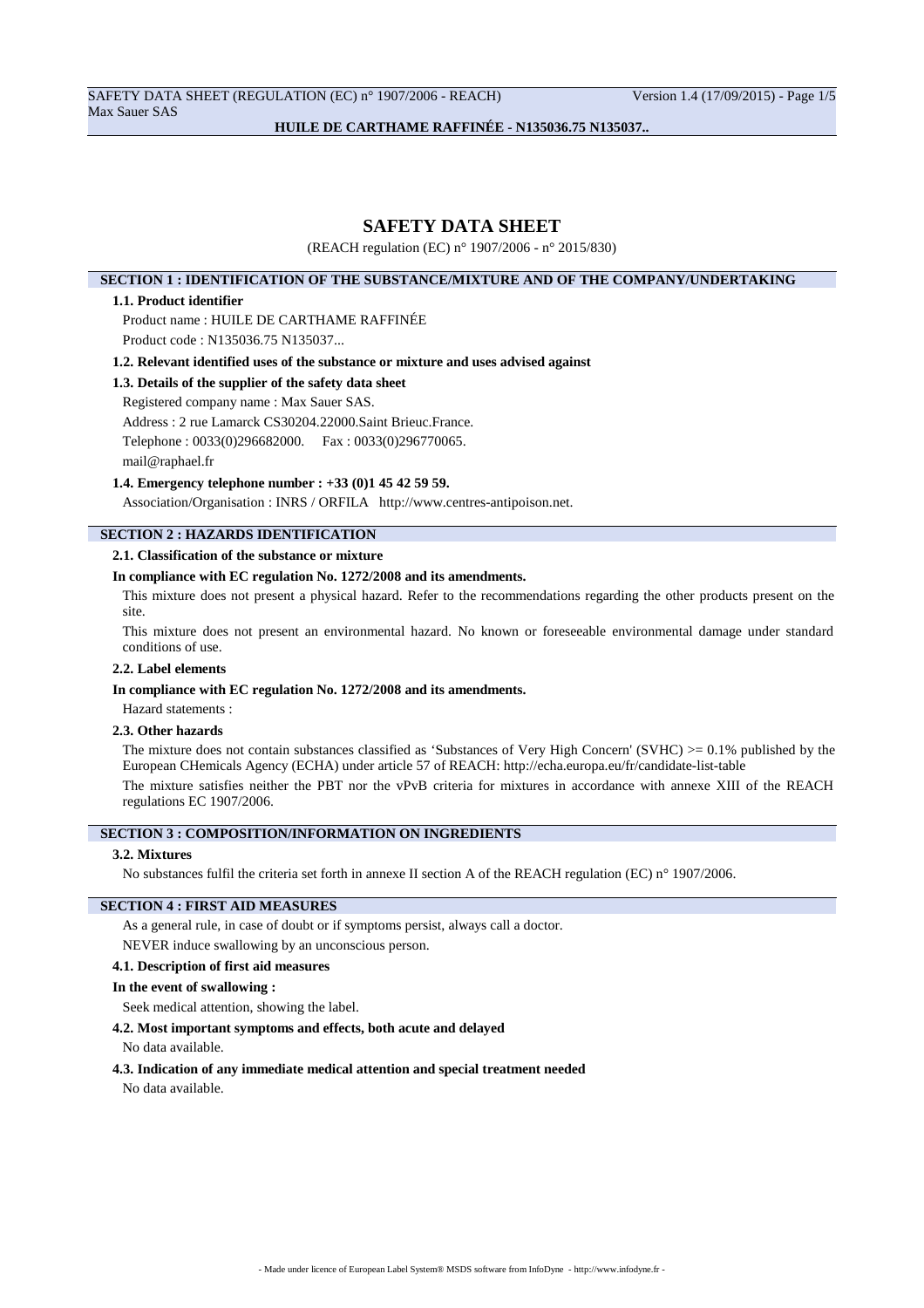SAFETY DATA SHEET (REGULATION (EC) n° 1907/2006 - REACH) Version 1.4 (17/09/2015) - Page 1/5 Max Sauer SAS **HUILE DE CARTHAME RAFFINÉE - N135036.75 N135037..**

# **SAFETY DATA SHEET**

(REACH regulation (EC) n° 1907/2006 - n° 2015/830)

# **SECTION 1 : IDENTIFICATION OF THE SUBSTANCE/MIXTURE AND OF THE COMPANY/UNDERTAKING**

#### **1.1. Product identifier**

Product name : HUILE DE CARTHAME RAFFINÉE

Product code : N135036.75 N135037...

#### **1.2. Relevant identified uses of the substance or mixture and uses advised against**

## **1.3. Details of the supplier of the safety data sheet**

Registered company name : Max Sauer SAS.

Address : 2 rue Lamarck CS30204.22000.Saint Brieuc.France.

Telephone : 0033(0)296682000. Fax : 0033(0)296770065.

mail@raphael.fr

# **1.4. Emergency telephone number : +33 (0)1 45 42 59 59.**

Association/Organisation : INRS / ORFILA http://www.centres-antipoison.net.

# **SECTION 2 : HAZARDS IDENTIFICATION**

# **2.1. Classification of the substance or mixture**

## **In compliance with EC regulation No. 1272/2008 and its amendments.**

This mixture does not present a physical hazard. Refer to the recommendations regarding the other products present on the site.

This mixture does not present an environmental hazard. No known or foreseeable environmental damage under standard conditions of use.

# **2.2. Label elements**

#### **In compliance with EC regulation No. 1272/2008 and its amendments.**

Hazard statements :

# **2.3. Other hazards**

The mixture does not contain substances classified as 'Substances of Very High Concern' (SVHC)  $>= 0.1\%$  published by the European CHemicals Agency (ECHA) under article 57 of REACH: http://echa.europa.eu/fr/candidate-list-table The mixture satisfies neither the PBT nor the vPvB criteria for mixtures in accordance with annexe XIII of the REACH regulations EC 1907/2006.

# **SECTION 3 : COMPOSITION/INFORMATION ON INGREDIENTS**

#### **3.2. Mixtures**

No substances fulfil the criteria set forth in annexe II section A of the REACH regulation (EC) n° 1907/2006.

# **SECTION 4 : FIRST AID MEASURES**

As a general rule, in case of doubt or if symptoms persist, always call a doctor. NEVER induce swallowing by an unconscious person.

#### **4.1. Description of first aid measures**

#### **In the event of swallowing :**

Seek medical attention, showing the label.

# **4.2. Most important symptoms and effects, both acute and delayed**

No data available.

### **4.3. Indication of any immediate medical attention and special treatment needed**

No data available.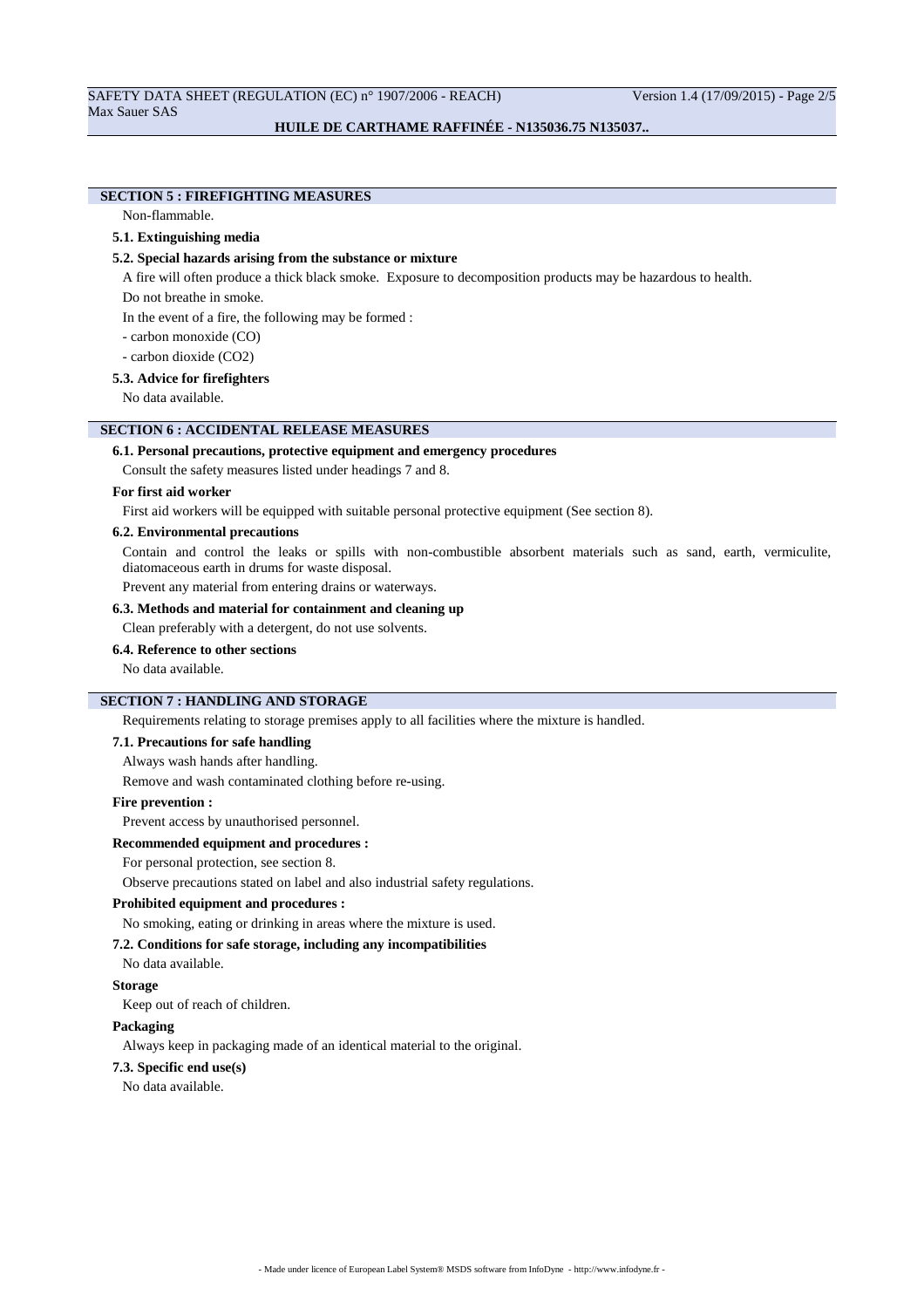# **SECTION 5 : FIREFIGHTING MEASURES**

Non-flammable.

# **5.1. Extinguishing media**

# **5.2. Special hazards arising from the substance or mixture**

A fire will often produce a thick black smoke. Exposure to decomposition products may be hazardous to health.

Do not breathe in smoke.

In the event of a fire, the following may be formed :

- carbon monoxide (CO)

- carbon dioxide (CO2)

#### **5.3. Advice for firefighters**

No data available.

# **SECTION 6 : ACCIDENTAL RELEASE MEASURES**

# **6.1. Personal precautions, protective equipment and emergency procedures**

Consult the safety measures listed under headings 7 and 8.

#### **For first aid worker**

First aid workers will be equipped with suitable personal protective equipment (See section 8).

# **6.2. Environmental precautions**

Contain and control the leaks or spills with non-combustible absorbent materials such as sand, earth, vermiculite, diatomaceous earth in drums for waste disposal.

Prevent any material from entering drains or waterways.

## **6.3. Methods and material for containment and cleaning up**

Clean preferably with a detergent, do not use solvents.

# **6.4. Reference to other sections**

No data available.

# **SECTION 7 : HANDLING AND STORAGE**

Requirements relating to storage premises apply to all facilities where the mixture is handled.

# **7.1. Precautions for safe handling**

Always wash hands after handling.

Remove and wash contaminated clothing before re-using.

#### **Fire prevention :**

Prevent access by unauthorised personnel.

# **Recommended equipment and procedures :**

# For personal protection, see section 8.

Observe precautions stated on label and also industrial safety regulations.

### **Prohibited equipment and procedures :**

No smoking, eating or drinking in areas where the mixture is used.

## **7.2. Conditions for safe storage, including any incompatibilities**

No data available.

# **Storage**

Keep out of reach of children.

# **Packaging**

Always keep in packaging made of an identical material to the original.

# **7.3. Specific end use(s)**

No data available.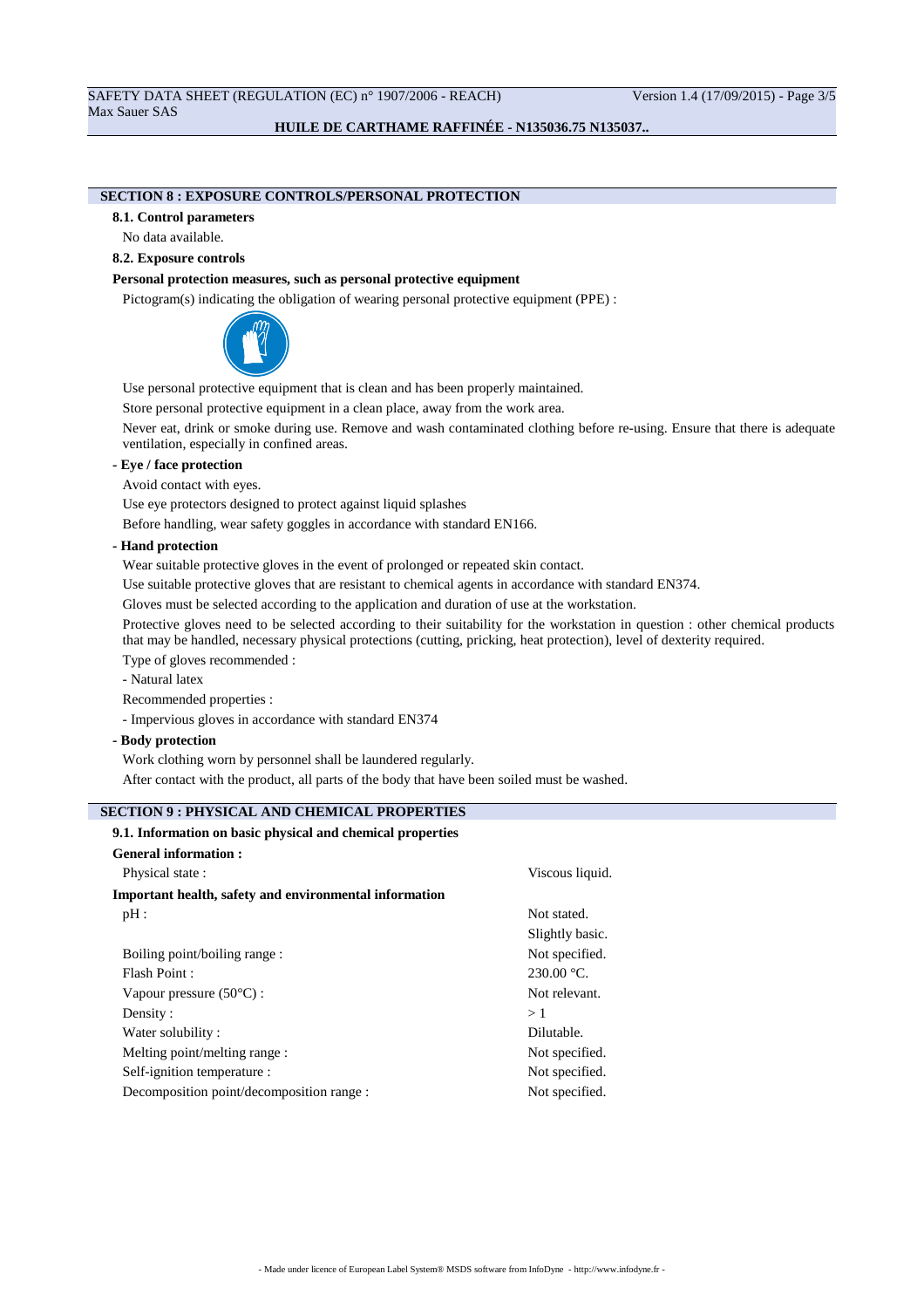# **SECTION 8 : EXPOSURE CONTROLS/PERSONAL PROTECTION**

**8.1. Control parameters**

No data available.

**8.2. Exposure controls**

# **Personal protection measures, such as personal protective equipment**

Pictogram(s) indicating the obligation of wearing personal protective equipment (PPE) :



Use personal protective equipment that is clean and has been properly maintained.

Store personal protective equipment in a clean place, away from the work area.

Never eat, drink or smoke during use. Remove and wash contaminated clothing before re-using. Ensure that there is adequate ventilation, especially in confined areas.

# **- Eye / face protection**

Avoid contact with eyes.

Use eye protectors designed to protect against liquid splashes

Before handling, wear safety goggles in accordance with standard EN166.

## **- Hand protection**

Wear suitable protective gloves in the event of prolonged or repeated skin contact.

Use suitable protective gloves that are resistant to chemical agents in accordance with standard EN374.

Gloves must be selected according to the application and duration of use at the workstation.

Protective gloves need to be selected according to their suitability for the workstation in question : other chemical products that may be handled, necessary physical protections (cutting, pricking, heat protection), level of dexterity required.

Type of gloves recommended :

- Natural latex

Recommended properties :

- Impervious gloves in accordance with standard EN374

## **- Body protection**

Work clothing worn by personnel shall be laundered regularly. After contact with the product, all parts of the body that have been soiled must be washed.

#### **SECTION 9 : PHYSICAL AND CHEMICAL PROPERTIES**

| 9.1. Information on basic physical and chemical properties |                      |
|------------------------------------------------------------|----------------------|
| <b>General information:</b>                                |                      |
| Physical state:                                            | Viscous liquid.      |
| Important health, safety and environmental information     |                      |
| pH:                                                        | Not stated.          |
|                                                            | Slightly basic.      |
| Boiling point/boiling range:                               | Not specified.       |
| Flash Point:                                               | $230.00 \degree C$ . |
| Vapour pressure $(50^{\circ}C)$ :                          | Not relevant.        |
| Density:                                                   | >1                   |
| Water solubility:                                          | Dilutable.           |
| Melting point/melting range :                              | Not specified.       |
| Self-ignition temperature :                                | Not specified.       |
| Decomposition point/decomposition range :                  | Not specified.       |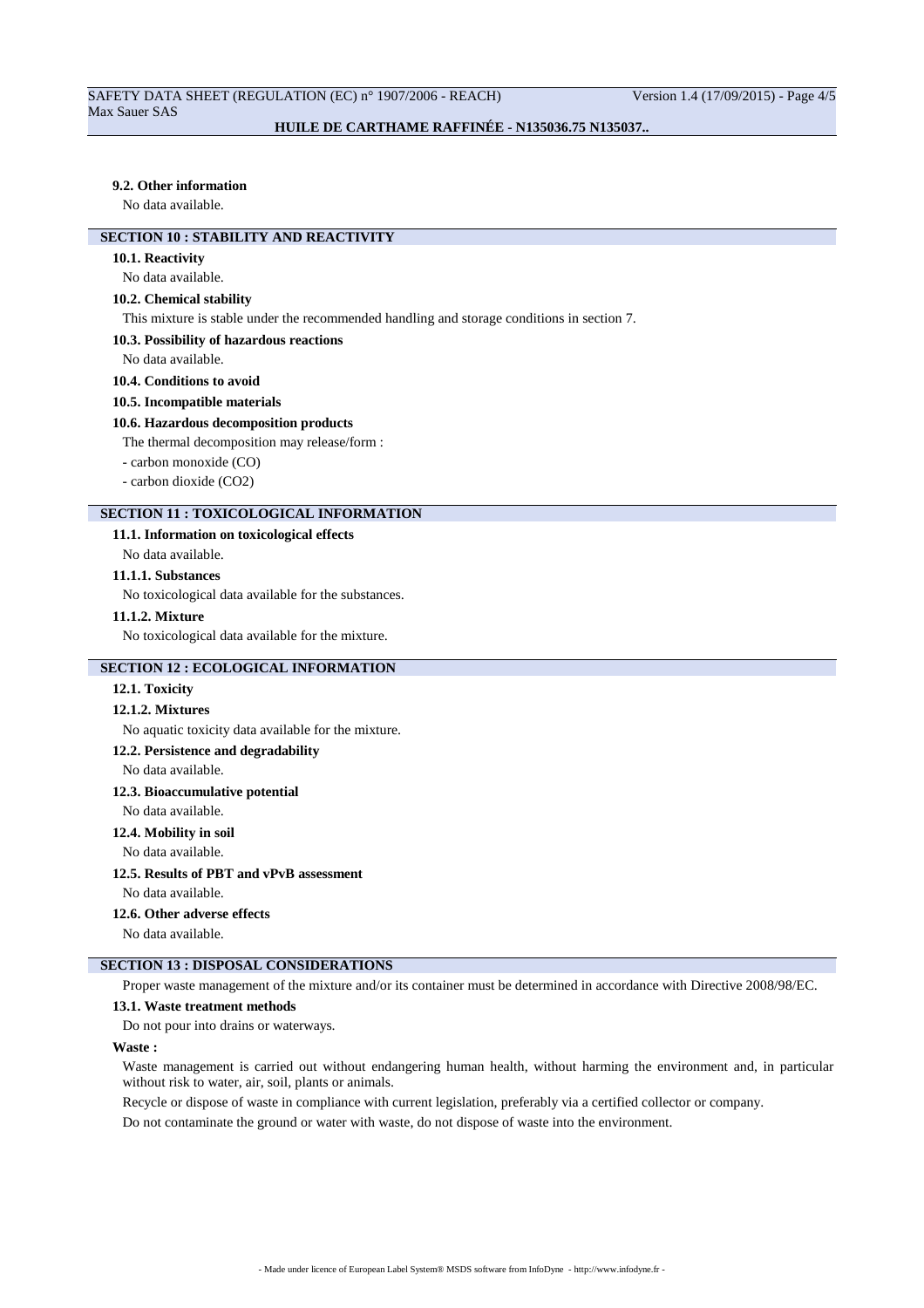#### **9.2. Other information**

No data available.

# **SECTION 10 : STABILITY AND REACTIVITY**

# **10.1. Reactivity**

#### No data available.

#### **10.2. Chemical stability**

This mixture is stable under the recommended handling and storage conditions in section 7.

#### **10.3. Possibility of hazardous reactions**

No data available.

# **10.4. Conditions to avoid**

**10.5. Incompatible materials**

#### **10.6. Hazardous decomposition products**

The thermal decomposition may release/form :

#### - carbon monoxide (CO)

- carbon dioxide (CO2)

## **SECTION 11 : TOXICOLOGICAL INFORMATION**

## **11.1. Information on toxicological effects**

No data available.

#### **11.1.1. Substances**

No toxicological data available for the substances.

#### **11.1.2. Mixture**

No toxicological data available for the mixture.

# **SECTION 12 : ECOLOGICAL INFORMATION**

# **12.1. Toxicity**

#### **12.1.2. Mixtures**

No aquatic toxicity data available for the mixture.

# **12.2. Persistence and degradability**

No data available.

## **12.3. Bioaccumulative potential**

# No data available.

# **12.4. Mobility in soil**

No data available.

# **12.5. Results of PBT and vPvB assessment**

# No data available.

#### **12.6. Other adverse effects**

No data available.

# **SECTION 13 : DISPOSAL CONSIDERATIONS**

Proper waste management of the mixture and/or its container must be determined in accordance with Directive 2008/98/EC.

# **13.1. Waste treatment methods**

Do not pour into drains or waterways.

# **Waste :**

Waste management is carried out without endangering human health, without harming the environment and, in particular without risk to water, air, soil, plants or animals.

Recycle or dispose of waste in compliance with current legislation, preferably via a certified collector or company.

Do not contaminate the ground or water with waste, do not dispose of waste into the environment.